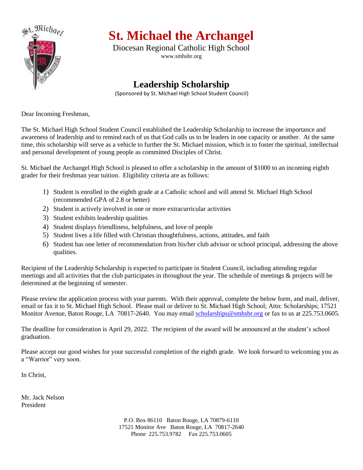

# **St. Michael the Archangel**

Diocesan Regional Catholic High School www.smhsbr.org

## **Leadership Scholarship**

(Sponsored by St. Michael High School Student Council)

Dear Incoming Freshman,

The St. Michael High School Student Council established the Leadership Scholarship to increase the importance and awareness of leadership and to remind each of us that God calls us to be leaders in one capacity or another. At the same time, this scholarship will serve as a vehicle to further the St. Michael mission, which is to foster the spiritual, intellectual and personal development of young people as committed Disciples of Christ.

St. Michael the Archangel High School is pleased to offer a scholarship in the amount of \$1000 to an incoming eighth grader for their freshman year tuition. Eligibility criteria are as follows:

- 1) Student is enrolled in the eighth grade at a Catholic school and will attend St. Michael High School (recommended GPA of 2.8 or better)
- 2) Student is actively involved in one or more extracurricular activities
- 3) Student exhibits leadership qualities
- 4) Student displays friendliness, helpfulness, and love of people
- 5) Student lives a life filled with Christian thoughtfulness, actions, attitudes, and faith
- 6) Student has one letter of recommendation from his/her club advisor or school principal, addressing the above qualities.

Recipient of the Leadership Scholarship is expected to participate in Student Council, including attending regular meetings and all activities that the club participates in throughout the year. The schedule of meetings & projects will be determined at the beginning of semester.

Please review the application process with your parents. With their approval, complete the below form, and mail, deliver, email or fax it to St. Michael High School. Please mail or deliver to St. Michael High School; Attn: Scholarships; 17521 Monitor Avenue, Baton Rouge, LA 70817-2640. You may email [scholarships@smhsbr.org](mailto:scholarships@smhsbr.org) or fax to us at 225.753.0605.

The deadline for consideration is April 29, 2022. The recipient of the award will be announced at the student's school graduation.

Please accept our good wishes for your successful completion of the eighth grade. We look forward to welcoming you as a "Warrior" very soon.

In Christ,

Mr. Jack Nelson President

> P.O. Box 86110 Baton Rouge, LA 70879-6110 17521 Monitor Ave Baton Rouge, LA 70817-2640 Phone 225.753.9782 Fax 225.753.0605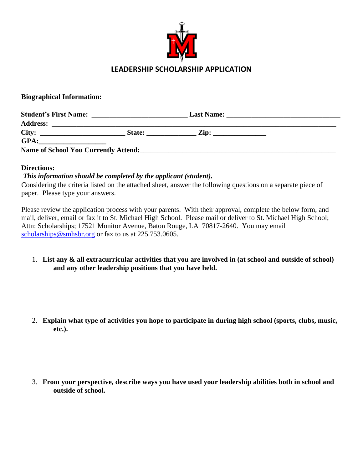

#### **Biographical Information:**

| <b>Student's First Name:</b>                | the control of the control of the control of | <b>Last Name:</b>                                                 |  |
|---------------------------------------------|----------------------------------------------|-------------------------------------------------------------------|--|
| <b>Address:</b>                             |                                              |                                                                   |  |
| City:                                       | State:                                       | $\mathbf{Zip:}_{\_}$<br>the company of the company of the company |  |
| GPA:                                        |                                              |                                                                   |  |
| <b>Name of School You Currently Attend:</b> |                                              |                                                                   |  |

#### **Directions:**

### *This information should be completed by the applicant (student).*

Considering the criteria listed on the attached sheet, answer the following questions on a separate piece of paper. Please type your answers.

Please review the application process with your parents. With their approval, complete the below form, and mail, deliver, email or fax it to St. Michael High School. Please mail or deliver to St. Michael High School; Attn: Scholarships; 17521 Monitor Avenue, Baton Rouge, LA 70817-2640. You may email [scholarships@smhsbr.org](mailto:scholarships@smhsbr.org) or fax to us at 225.753.0605.

- 1. **List any & all extracurricular activities that you are involved in (at school and outside of school) and any other leadership positions that you have held.**
- 2. **Explain what type of activities you hope to participate in during high school (sports, clubs, music, etc.).**
- 3. **From your perspective, describe ways you have used your leadership abilities both in school and outside of school.**